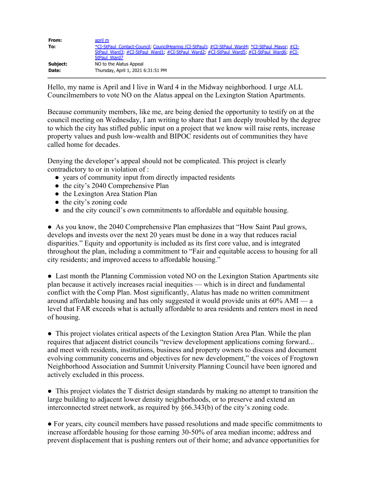| From:    | april m                                                                                          |
|----------|--------------------------------------------------------------------------------------------------|
| To:      | *CI-StPaul Contact-Council, CouncilHearing (CI-StPaul), #CI-StPaul Ward4; *CI-StPaul Mayor, #CI- |
|          | StPaul Ward3; #CI-StPaul Ward1; #CI-StPaul Ward2; #CI-StPaul Ward5; #CI-StPaul Ward6; #CI-       |
|          | StPaul Ward7                                                                                     |
| Subject: | NO to the Alatus Appeal                                                                          |
| Date:    | Thursday, April 1, 2021 6:31:51 PM                                                               |

Hello, my name is April and I live in Ward 4 in the Midway neighborhood. I urge ALL Councilmembers to vote NO on the Alatus appeal on the Lexington Station Apartments.

Because community members, like me, are being denied the opportunity to testify on at the council meeting on Wednesday, I am writing to share that I am deeply troubled by the degree to which the city has stifled public input on a project that we know will raise rents, increase property values and push low-wealth and BIPOC residents out of communities they have called home for decades.

Denying the developer's appeal should not be complicated. This project is clearly contradictory to or in violation of :

- years of community input from directly impacted residents
- the city's 2040 Comprehensive Plan
- the Lexington Area Station Plan
- the city's zoning code
- and the city council's own commitments to affordable and equitable housing.

● As you know, the 2040 Comprehensive Plan emphasizes that "How Saint Paul grows, develops and invests over the next 20 years must be done in a way that reduces racial disparities." Equity and opportunity is included as its first core value, and is integrated throughout the plan, including a commitment to "Fair and equitable access to housing for all city residents; and improved access to affordable housing."

• Last month the Planning Commission voted NO on the Lexington Station Apartments site plan because it actively increases racial inequities — which is in direct and fundamental conflict with the Comp Plan. Most significantly, Alatus has made no written commitment around affordable housing and has only suggested it would provide units at 60% AMI — a level that FAR exceeds what is actually affordable to area residents and renters most in need of housing.

● This project violates critical aspects of the Lexington Station Area Plan. While the plan requires that adjacent district councils "review development applications coming forward... and meet with residents, institutions, business and property owners to discuss and document evolving community concerns and objectives for new development," the voices of Frogtown Neighborhood Association and Summit University Planning Council have been ignored and actively excluded in this process.

• This project violates the T district design standards by making no attempt to transition the large building to adjacent lower density neighborhoods, or to preserve and extend an interconnected street network, as required by §66.343(b) of the city's zoning code.

● For years, city council members have passed resolutions and made specific commitments to increase affordable housing for those earning 30-50% of area median income; address and prevent displacement that is pushing renters out of their home; and advance opportunities for